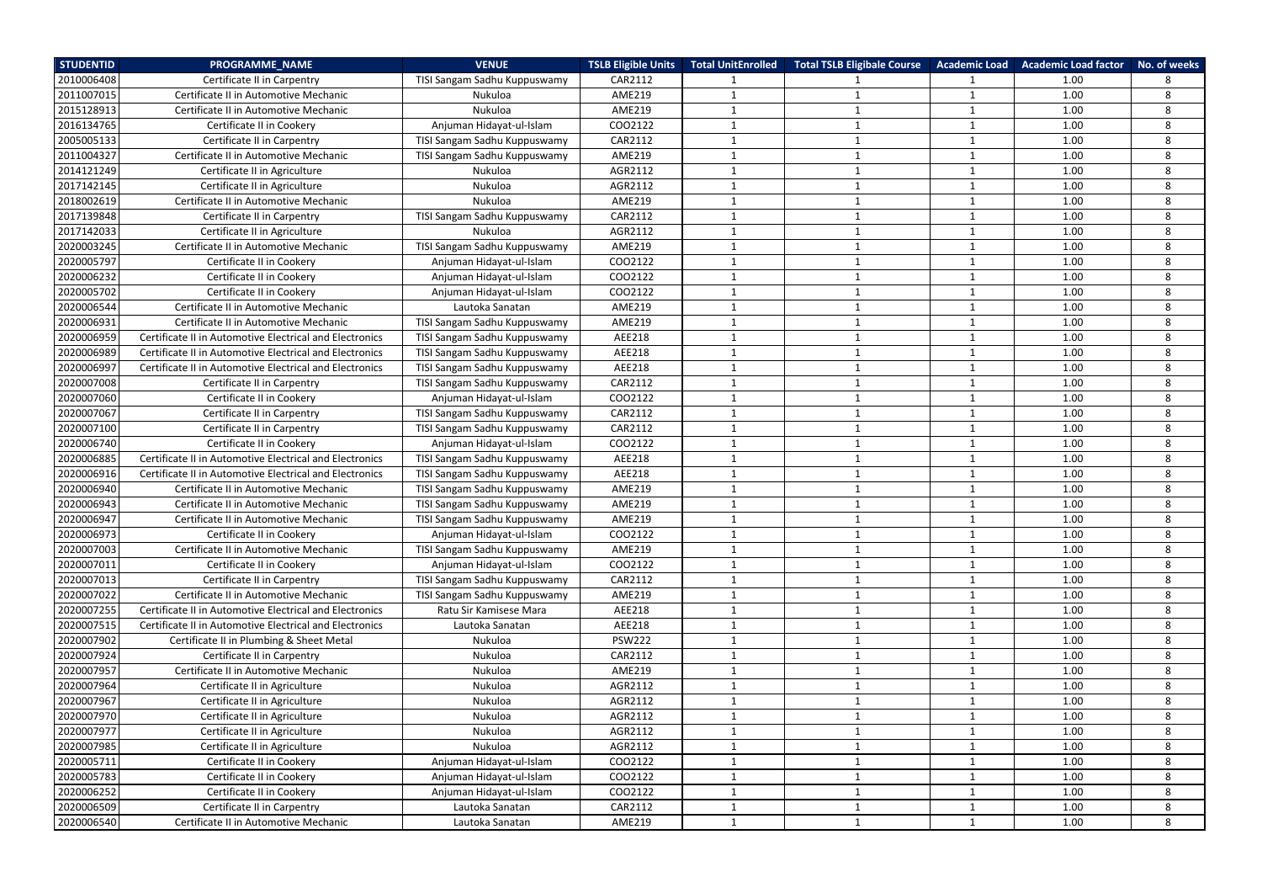| <b>STUDENTID</b> | <b>PROGRAMME NAME</b>                                   | <b>VENUE</b>                 | <b>TSLB Eligible Units</b> | <b>Total UnitEnrolled</b> | <b>Total TSLB Eligibale Course</b> |                         | Academic Load Academic Load factor | No. of weeks |
|------------------|---------------------------------------------------------|------------------------------|----------------------------|---------------------------|------------------------------------|-------------------------|------------------------------------|--------------|
| 2010006408       | Certificate II in Carpentry                             | TISI Sangam Sadhu Kuppuswamy | CAR2112                    |                           |                                    |                         | 1.00                               | 8            |
| 2011007015       | Certificate II in Automotive Mechanic                   | Nukuloa                      | <b>AME219</b>              | -1                        |                                    | -1                      | 1.00                               | 8            |
| 2015128913       | Certificate II in Automotive Mechanic                   | Nukuloa                      | <b>AME219</b>              | $\mathbf{1}$              |                                    | $\mathbf{1}$            | 1.00                               | 8            |
| 2016134765       | Certificate II in Cookery                               | Anjuman Hidayat-ul-Islam     | COO2122                    | $\mathbf{1}$              | $\mathbf{1}$                       | $\overline{\mathbf{1}}$ | 1.00                               | 8            |
| 2005005133       | Certificate II in Carpentry                             | TISI Sangam Sadhu Kuppuswamy | CAR2112                    | -1                        |                                    |                         | 1.00                               | 8            |
| 2011004327       | Certificate II in Automotive Mechanic                   | TISI Sangam Sadhu Kuppuswamy | AME219                     | $\mathbf{1}$              | -1                                 | $\mathbf{1}$            | 1.00                               | 8            |
| 2014121249       | Certificate II in Agriculture                           | Nukuloa                      | AGR2112                    | $\mathbf{1}$              | 1                                  | $\mathbf{1}$            | 1.00                               | 8            |
| 2017142145       | Certificate II in Agriculture                           | Nukuloa                      | AGR2112                    | $\mathbf{1}$              |                                    | $\overline{1}$          | 1.00                               | 8            |
| 2018002619       | Certificate II in Automotive Mechanic                   | Nukuloa                      | <b>AME219</b>              | -1                        | -1                                 | -1                      | 1.00                               | 8            |
| 2017139848       | Certificate II in Carpentry                             | TISI Sangam Sadhu Kuppuswamy | CAR2112                    |                           |                                    |                         | 1.00                               | 8            |
| 2017142033       | Certificate II in Agriculture                           | Nukuloa                      | AGR2112                    |                           |                                    |                         | 1.00                               | 8            |
| 2020003245       | Certificate II in Automotive Mechanic                   | TISI Sangam Sadhu Kuppuswamy | AME219                     | $\mathbf{1}$              | 1                                  | $\mathbf{1}$            | 1.00                               | 8            |
| 2020005797       | Certificate II in Cookery                               | Anjuman Hidayat-ul-Islam     | COO2122                    | $\mathbf{1}$              | -1                                 | $\mathbf{\overline{1}}$ | 1.00                               | 8            |
| 2020006232       | Certificate II in Cookery                               | Anjuman Hidayat-ul-Islam     | COO2122                    | $\mathbf 1$               | 1                                  | $\mathbf{1}$            | 1.00                               | 8            |
| 2020005702       | Certificate II in Cookery                               | Anjuman Hidayat-ul-Islam     | COO2122                    | $\mathbf{1}$              | $\mathbf{1}$                       | $\mathbf 1$             | 1.00                               | 8            |
| 2020006544       | Certificate II in Automotive Mechanic                   | Lautoka Sanatan              | <b>AME219</b>              | $\mathbf{1}$              |                                    | $\mathbf{1}$            | 1.00                               | 8            |
| 2020006931       | Certificate II in Automotive Mechanic                   | TISI Sangam Sadhu Kuppuswamy | <b>AME219</b>              | $\mathbf 1$               | -1                                 | $\overline{\mathbf{1}}$ | 1.00                               | 8            |
| 2020006959       | Certificate II in Automotive Electrical and Electronics | TISI Sangam Sadhu Kuppuswamy | AEE218                     | $\mathbf{1}$              | 1                                  | $\overline{1}$          | 1.00                               | 8            |
| 2020006989       | Certificate II in Automotive Electrical and Electronics | TISI Sangam Sadhu Kuppuswamy | AEE218                     | $\mathbf{1}$              |                                    | $\mathbf{1}$            | 1.00                               | 8            |
| 2020006997       | Certificate II in Automotive Electrical and Electronics | TISI Sangam Sadhu Kuppuswamy | AEE218                     | $\mathbf{1}$              | $\mathbf{1}$                       | $\mathbf{1}$            | 1.00                               | 8            |
| 2020007008       | Certificate II in Carpentry                             | TISI Sangam Sadhu Kuppuswamy | CAR2112                    | $\mathbf{1}$              | $\mathbf{1}$                       | $\mathbf{1}$            | 1.00                               | 8            |
| 2020007060       | Certificate II in Cookery                               | Anjuman Hidayat-ul-Islam     | CO02122                    |                           |                                    |                         | 1.00                               | 8            |
| 2020007067       | Certificate II in Carpentry                             | TISI Sangam Sadhu Kuppuswamy | CAR2112                    | $\mathbf{1}$              | $\mathbf{1}$                       | $\overline{1}$          | 1.00                               | 8            |
| 2020007100       | Certificate II in Carpentry                             | TISI Sangam Sadhu Kuppuswamy | CAR2112                    | $\mathbf{1}$              |                                    | $\mathbf{1}$            | 1.00                               | 8            |
| 2020006740       | Certificate II in Cookery                               | Anjuman Hidayat-ul-Islam     | COO2122                    | -1                        |                                    | $\mathbf{1}$            | 1.00                               | 8            |
| 2020006885       | Certificate II in Automotive Electrical and Electronics | TISI Sangam Sadhu Kuppuswamy | AEE218                     | $\mathbf{1}$              | -1                                 | -1                      | 1.00                               | 8            |
| 2020006916       | Certificate II in Automotive Electrical and Electronics | TISI Sangam Sadhu Kuppuswamy | AEE218                     | $\mathbf{1}$              | $\mathbf{1}$                       | $\mathbf{1}$            | 1.00                               | 8            |
| 2020006940       | Certificate II in Automotive Mechanic                   | TISI Sangam Sadhu Kuppuswamy | <b>AME219</b>              |                           |                                    |                         | 1.00                               | 8            |
| 2020006943       | Certificate II in Automotive Mechanic                   | TISI Sangam Sadhu Kuppuswamy | <b>AME219</b>              | $\mathbf{1}$              | -1                                 | $\overline{1}$          | 1.00                               | 8            |
| 2020006947       | Certificate II in Automotive Mechanic                   | TISI Sangam Sadhu Kuppuswamy | <b>AME219</b>              |                           |                                    |                         | 1.00                               | 8            |
| 2020006973       | Certificate II in Cookery                               | Anjuman Hidayat-ul-Islam     | COO2122                    |                           |                                    |                         | 1.00                               | ୪            |
| 2020007003       | Certificate II in Automotive Mechanic                   | TISI Sangam Sadhu Kuppuswamy | <b>AME219</b>              | $\mathbf{1}$              | 1                                  | $\mathbf{1}$            | 1.00                               | 8            |
| 2020007011       | Certificate II in Cookery                               | Anjuman Hidayat-ul-Islam     | COO2122                    | $\mathbf{1}$              | 1                                  | 1                       | 1.00                               | 8            |
| 2020007013       | Certificate II in Carpentry                             | TISI Sangam Sadhu Kuppuswamy | CAR2112                    | $\mathbf{1}$              | 1                                  | $\overline{1}$          | 1.00                               | 8            |
| 2020007022       | Certificate II in Automotive Mechanic                   | TISI Sangam Sadhu Kuppuswamy | AME219                     | $\mathbf{1}$              | $\mathbf 1$                        | 1                       | 1.00                               | 8            |
| 2020007255       | Certificate II in Automotive Electrical and Electronics | Ratu Sir Kamisese Mara       | AEE218                     | $\mathbf{1}$              | 1                                  | 1                       | 1.00                               | 8            |
| 2020007515       | Certificate II in Automotive Electrical and Electronics | Lautoka Sanatan              | AEE218                     | $\mathbf{1}$              | 1                                  | 1                       | 1.00                               | 8            |
| 2020007902       | Certificate II in Plumbing & Sheet Metal                | Nukuloa                      | <b>PSW222</b>              | $\mathbf{1}$              | 1                                  | $\mathbf{1}$            | 1.00                               | 8            |
| 2020007924       | Certificate II in Carpentry                             | Nukuloa                      | CAR2112                    | $\mathbf{1}$              | 1                                  | -1                      | 1.00                               | 8            |
| 2020007957       | Certificate II in Automotive Mechanic                   | Nukuloa                      | AME219                     | $\mathbf{1}$              | $\mathbf 1$                        | $\mathbf 1$             | 1.00                               | 8            |
| 2020007964       | Certificate II in Agriculture                           | Nukuloa                      | AGR2112                    | $\mathbf{1}$              | 1                                  | $\mathbf{1}$            | 1.00                               | 8            |
| 2020007967       | Certificate II in Agriculture                           | Nukuloa                      | AGR2112                    | $\mathbf{1}$              | 1                                  | $\overline{\mathbf{1}}$ | 1.00                               | 8            |
| 2020007970       | Certificate II in Agriculture                           | Nukuloa                      | AGR2112                    | $\mathbf{1}$              | 1                                  | -1                      | 1.00                               | 8            |
| 2020007977       | Certificate II in Agriculture                           | Nukuloa                      | AGR2112                    | 1                         | 1                                  | -1                      | 1.00                               | 8            |
| 2020007985       | Certificate II in Agriculture                           | Nukuloa                      | AGR2112                    | $\mathbf{1}$              |                                    | $\mathbf{1}$            | 1.00                               | 8            |
| 2020005711       | Certificate II in Cookery                               | Anjuman Hidayat-ul-Islam     | COO2122                    | $\mathbf{1}$              | 1                                  | 1                       | 1.00                               | 8            |
| 2020005783       | Certificate II in Cookery                               | Anjuman Hidayat-ul-Islam     | COO2122                    | 1                         | 1                                  | -1                      | 1.00                               | 8            |
| 2020006252       | Certificate II in Cookery                               | Anjuman Hidayat-ul-Islam     | COO2122                    | $\mathbf 1$               |                                    |                         | 1.00                               | 8            |
| 2020006509       | Certificate II in Carpentry                             | Lautoka Sanatan              | CAR2112                    | 1                         | 1                                  | $\mathbf{1}$            | 1.00                               | 8            |
| 2020006540       | Certificate II in Automotive Mechanic                   | Lautoka Sanatan              | <b>AME219</b>              | $\mathbf{1}$              | $\mathbf 1$                        | $\mathbf 1$             | 1.00                               | 8            |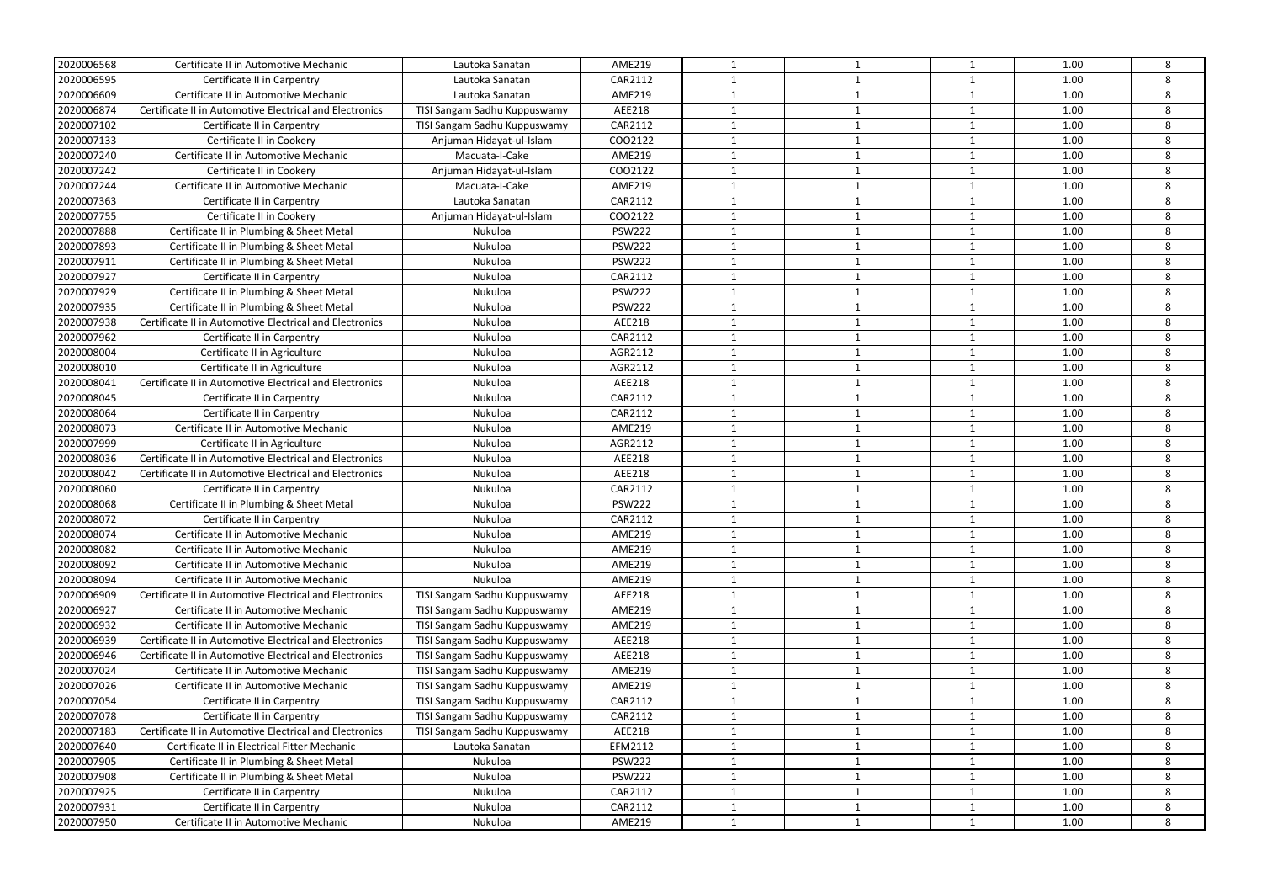| 2020006568               | Certificate II in Automotive Mechanic                                                                   | Lautoka Sanatan                                 | <b>AME219</b>           | $\mathbf{1}$                | $\mathbf 1$  | 1                       | 1.00         | 8      |
|--------------------------|---------------------------------------------------------------------------------------------------------|-------------------------------------------------|-------------------------|-----------------------------|--------------|-------------------------|--------------|--------|
| 2020006595               | Certificate II in Carpentry                                                                             | Lautoka Sanatan                                 | CAR2112                 |                             |              | -1                      | 1.00         | 8      |
| 2020006609               | Certificate II in Automotive Mechanic                                                                   | Lautoka Sanatan                                 | <b>AME219</b>           | $\mathbf{1}$                | 1            | 1                       | 1.00         | 8      |
| 2020006874               | Certificate II in Automotive Electrical and Electronics                                                 | TISI Sangam Sadhu Kuppuswamy                    | AEE218                  | $\mathbf 1$                 | 1            | $\mathbf{1}$            | 1.00         | 8      |
| 2020007102               | Certificate II in Carpentry                                                                             | TISI Sangam Sadhu Kuppuswamy                    | CAR2112                 | $\mathbf{1}$                | $\mathbf 1$  | $\overline{1}$          | 1.00         | 8      |
| 2020007133               | Certificate II in Cookery                                                                               | Anjuman Hidayat-ul-Islam                        | COO2122                 | -1                          | 1            | $\mathbf 1$             | 1.00         | 8      |
| 2020007240               | Certificate II in Automotive Mechanic                                                                   | Macuata-I-Cake                                  | <b>AME219</b>           | $\mathbf{1}$                | $\mathbf{1}$ | $\mathbf{1}$            | 1.00         | 8      |
| 2020007242               | Certificate II in Cookery                                                                               | Anjuman Hidayat-ul-Islam                        | COO2122                 |                             |              | $\mathbf{1}$            | 1.00         | 8      |
| 2020007244               | Certificate II in Automotive Mechanic                                                                   | Macuata-I-Cake                                  | <b>AME219</b>           | $\mathbf{1}$                | 1            | $\overline{1}$          | 1.00         | 8      |
| 2020007363               | Certificate II in Carpentry                                                                             | Lautoka Sanatan                                 | CAR2112                 | $\mathbf 1$                 | $\mathbf 1$  | $\overline{1}$          | 1.00         | 8      |
| 2020007755               | Certificate II in Cookery                                                                               | Anjuman Hidayat-ul-Islam                        | COO2122                 | $\mathbf 1$                 | $\mathbf{1}$ | -1                      | 1.00         | 8      |
| 2020007888               | Certificate II in Plumbing & Sheet Metal                                                                | Nukuloa                                         | <b>PSW222</b>           | $\mathbf{1}$                |              | $\mathbf{1}$            | 1.00         | 8      |
| 2020007893               | Certificate II in Plumbing & Sheet Metal                                                                | Nukuloa                                         | <b>PSW222</b>           | $\mathbf 1$                 |              | $\overline{\mathbf{1}}$ | 1.00         | 8      |
| 2020007911               | Certificate II in Plumbing & Sheet Metal                                                                | Nukuloa                                         | <b>PSW222</b>           | $\mathbf{1}$                | $\mathbf{1}$ | 1                       | 1.00         | 8      |
| 2020007927               | Certificate II in Carpentry                                                                             | Nukuloa                                         | CAR2112                 | $\mathbf{1}$                | 1            | 1                       | 1.00         | 8      |
| 2020007929               | Certificate II in Plumbing & Sheet Metal                                                                | Nukuloa                                         | <b>PSW222</b>           | -1                          | $\mathbf 1$  | 1                       | 1.00         | 8      |
| 2020007935               | Certificate II in Plumbing & Sheet Metal                                                                | Nukuloa                                         | <b>PSW222</b>           | $\mathbf{1}$                |              | $\mathbf{1}$            | 1.00         | 8      |
| 2020007938               | Certificate II in Automotive Electrical and Electronics                                                 | Nukuloa                                         | AEE218                  | $\mathbf{1}$                | $\mathbf{1}$ | $\mathbf{1}$            | 1.00         | 8      |
| 2020007962               | Certificate II in Carpentry                                                                             | Nukuloa                                         | CAR2112                 | $\mathbf{1}$                | 1            | $\mathbf{1}$            | 1.00         | 8      |
| 2020008004               | Certificate II in Agriculture                                                                           | Nukuloa                                         | AGR2112                 | $\mathbf 1$                 | $\mathbf 1$  | $\overline{1}$          | 1.00         | 8      |
| 2020008010               | Certificate II in Agriculture                                                                           | Nukuloa                                         | AGR2112                 |                             |              | $\mathbf{1}$            | 1.00         | 8      |
| 2020008041               | Certificate II in Automotive Electrical and Electronics                                                 | Nukuloa                                         | AEE218                  | $\mathbf{1}$                | $\mathbf{1}$ | 1                       | 1.00         | 8      |
| 2020008045               | Certificate II in Carpentry                                                                             | Nukuloa                                         | CAR2112                 |                             |              | $\mathbf{1}$            | 1.00         | 8      |
| 2020008064               | Certificate II in Carpentry                                                                             | Nukuloa                                         | CAR2112                 | $\mathbf{1}$                | $\mathbf{1}$ | $\overline{1}$          | 1.00         | 8      |
| 2020008073               | Certificate II in Automotive Mechanic                                                                   | Nukuloa                                         | <b>AME219</b>           | $\mathbf 1$                 | 1            | 1                       | 1.00         | 8      |
| 2020007999               | Certificate II in Agriculture                                                                           | Nukuloa                                         | AGR2112                 | $\mathbf 1$                 | 1            | $\overline{1}$          | 1.00         | 8      |
| 2020008036               | Certificate II in Automotive Electrical and Electronics                                                 | Nukuloa                                         | AEE218                  | -1                          | 1            | $\overline{1}$          | 1.00         | 8      |
| 2020008042               | Certificate II in Automotive Electrical and Electronics                                                 | Nukuloa                                         | AEE218                  | $\mathbf{1}$                | 1            | $\mathbf{1}$            | 1.00         | 8      |
| 2020008060               | Certificate II in Carpentry                                                                             | Nukuloa                                         | CAR2112                 |                             |              | $\mathbf{1}$            | 1.00         | 8      |
| 2020008068               | Certificate II in Plumbing & Sheet Metal                                                                | Nukuloa                                         | <b>PSW222</b>           | $\mathbf{1}$                | 1            | $\overline{1}$          | 1.00         | 8      |
| 2020008072               | Certificate II in Carpentry                                                                             | Nukuloa                                         | CAR2112                 |                             |              | $\mathbf 1$             | 1.00         | 8      |
| 2020008074               |                                                                                                         |                                                 |                         |                             |              |                         |              |        |
| 2020008082               | Certificate II in Automotive Mechanic<br>Certificate II in Automotive Mechanic                          | Nukuloa<br>Nukuloa                              | AME219<br><b>AME219</b> | -1                          | 1            | $\mathbf{1}$            | 1.00<br>1.00 | 8<br>8 |
| 2020008092               | Certificate II in Automotive Mechanic                                                                   | Nukuloa                                         | <b>AME219</b>           | $\mathbf{1}$                | 1            | $\mathbf{1}$            | 1.00         | 8      |
| 2020008094               | Certificate II in Automotive Mechanic                                                                   | Nukuloa                                         | <b>AME219</b>           | -1                          | 1            | 1                       | 1.00         | 8      |
| 2020006909               | Certificate II in Automotive Electrical and Electronics                                                 | TISI Sangam Sadhu Kuppuswamy                    | AEE218                  | $\mathbf{1}$                | 1            | 1                       | 1.00         | 8      |
| 2020006927               | Certificate II in Automotive Mechanic                                                                   | TISI Sangam Sadhu Kuppuswamy                    | <b>AME219</b>           | 1                           | 1            | $\mathbf{1}$            | 1.00         | 8      |
| 2020006932               | Certificate II in Automotive Mechanic                                                                   | TISI Sangam Sadhu Kuppuswamy                    | <b>AME219</b>           | $\mathbf{1}$                | 1            | $\mathbf{1}$            | 1.00         | 8      |
| 2020006939               | Certificate II in Automotive Electrical and Electronics                                                 | TISI Sangam Sadhu Kuppuswamy                    | AEE218                  | $\mathbf{1}$                | 1            | $\mathbf{1}$            | 1.00         | 8      |
| 2020006946               | Certificate II in Automotive Electrical and Electronics                                                 | TISI Sangam Sadhu Kuppuswamy                    | AEE218                  | -1                          | 1            | -1                      | 1.00         | 8      |
| 2020007024               | Certificate II in Automotive Mechanic                                                                   | TISI Sangam Sadhu Kuppuswamy                    | AME219                  | $\mathbf{1}$                |              | 1                       | 1.00         | 8      |
| 2020007026               | Certificate II in Automotive Mechanic                                                                   | TISI Sangam Sadhu Kuppuswamy                    | <b>AME219</b>           | $\mathbf{1}$                | 1            | $\mathbf{1}$            | 1.00         | 8      |
| 2020007054               | Certificate II in Carpentry                                                                             | TISI Sangam Sadhu Kuppuswamy                    | CAR2112                 |                             |              |                         | 1.00         | 8      |
| 2020007078               |                                                                                                         |                                                 | CAR2112                 | $\mathbf{1}$<br>-1          | $\mathbf{1}$ | $\mathbf{1}$<br>-1      | 1.00         | 8      |
|                          | Certificate II in Carpentry                                                                             | TISI Sangam Sadhu Kuppuswamy                    |                         |                             |              |                         |              |        |
| 2020007183<br>2020007640 | Certificate II in Automotive Electrical and Electronics<br>Certificate II in Electrical Fitter Mechanic | TISI Sangam Sadhu Kuppuswamy<br>Lautoka Sanatan | AEE218<br>EFM2112       | $\mathbf 1$<br>$\mathbf{1}$ | $\mathbf{1}$ | $\mathbf{1}$<br>1       | 1.00<br>1.00 | 8<br>8 |
| 2020007905               | Certificate II in Plumbing & Sheet Metal                                                                | Nukuloa                                         | <b>PSW222</b>           | $\mathbf{1}$                | 1            |                         | 1.00         | 8      |
| 2020007908               | Certificate II in Plumbing & Sheet Metal                                                                | Nukuloa                                         | <b>PSW222</b>           | 1                           | 1<br>1       | $\mathbf{1}$<br>1       | 1.00         | 8      |
| 2020007925               | Certificate II in Carpentry                                                                             | Nukuloa                                         | CAR2112                 | $\mathbf{1}$                |              |                         | 1.00         | 8      |
| 2020007931               | Certificate II in Carpentry                                                                             | Nukuloa                                         | CAR2112                 |                             | 1            | $\mathbf{1}$            | 1.00         | 8      |
|                          |                                                                                                         |                                                 |                         |                             |              | $\mathbf{1}$            |              |        |
| 2020007950               | Certificate II in Automotive Mechanic                                                                   | Nukuloa                                         | <b>AME219</b>           | $\mathbf{1}$                | 1            | $\mathbf{1}$            | 1.00         | 8      |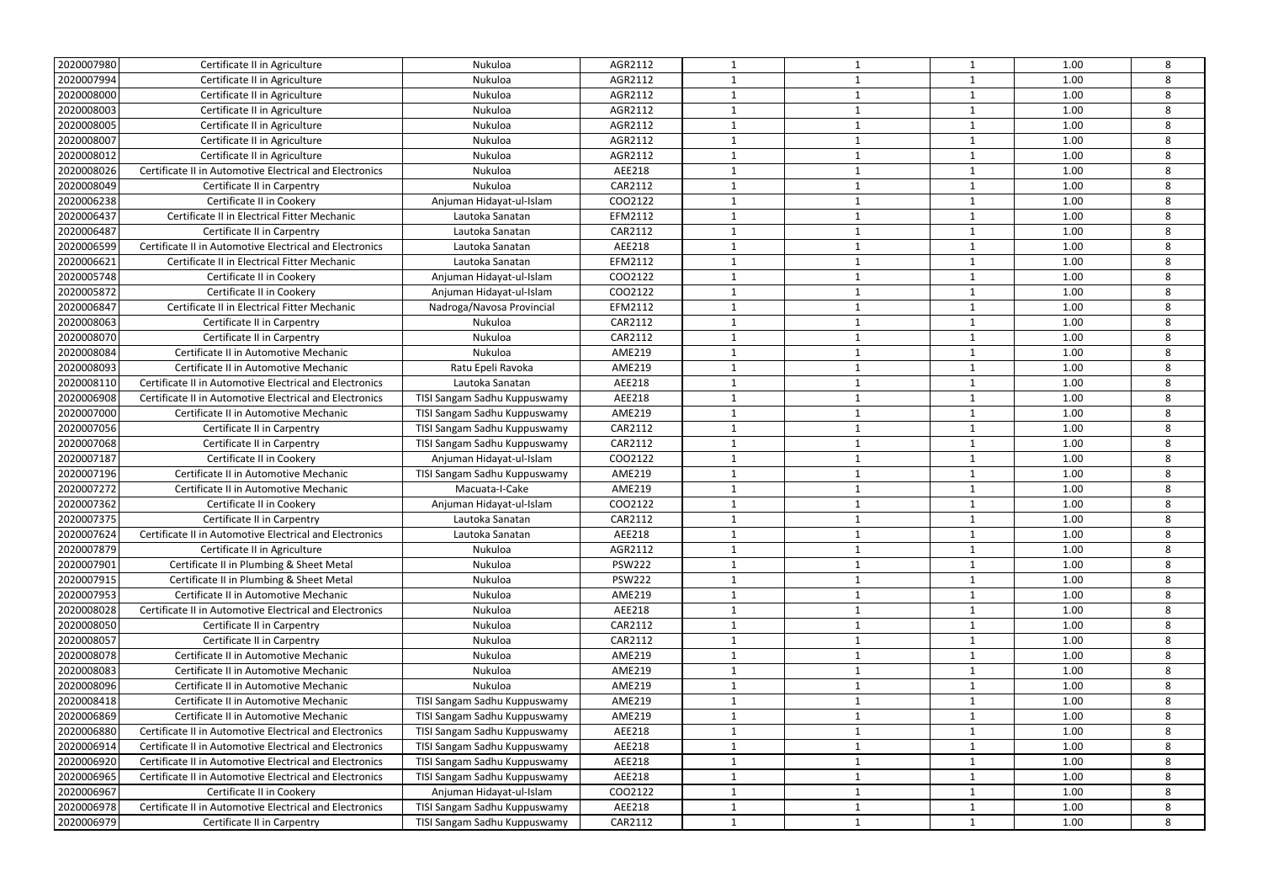| 2020007980 | Certificate II in Agriculture                           | Nukuloa                      | AGR2112       |              |              | $\mathbf{1}$            | 1.00 | 8 |
|------------|---------------------------------------------------------|------------------------------|---------------|--------------|--------------|-------------------------|------|---|
| 2020007994 | Certificate II in Agriculture                           | Nukuloa                      | AGR2112       |              |              | $\overline{\mathbf{1}}$ | 1.00 | 8 |
| 2020008000 | Certificate II in Agriculture                           | Nukuloa                      | AGR2112       |              | $\mathbf 1$  | $\overline{\mathbf{1}}$ | 1.00 | 8 |
| 2020008003 | Certificate II in Agriculture                           | Nukuloa                      | AGR2112       |              | $\mathbf{1}$ | $\mathbf 1$             | 1.00 | 8 |
| 2020008005 | Certificate II in Agriculture                           | Nukuloa                      | AGR2112       |              | 1            | $\overline{1}$          | 1.00 | 8 |
|            |                                                         |                              |               | $\mathbf 1$  | -1           | $\overline{\mathbf{1}}$ |      | 8 |
| 2020008007 | Certificate II in Agriculture                           | Nukuloa                      | AGR2112       |              |              |                         | 1.00 |   |
| 2020008012 | Certificate II in Agriculture                           | Nukuloa                      | AGR2112       |              | 1            | -1                      | 1.00 | 8 |
| 2020008026 | Certificate II in Automotive Electrical and Electronics | Nukuloa                      | AEE218        |              | $\mathbf 1$  | 1                       | 1.00 | 8 |
| 2020008049 | Certificate II in Carpentry                             | Nukuloa                      | CAR2112       |              | $\mathbf 1$  | $\mathbf{1}$            | 1.00 | 8 |
| 2020006238 | Certificate II in Cookery                               | Anjuman Hidayat-ul-Islam     | COO2122       | $\mathbf 1$  | -1           | $\overline{\mathbf{1}}$ | 1.00 | 8 |
| 2020006437 | Certificate II in Electrical Fitter Mechanic            | Lautoka Sanatan              | EFM2112       |              |              |                         | 1.00 | 8 |
| 2020006487 | Certificate II in Carpentry                             | Lautoka Sanatan              | CAR2112       |              | 1            | $\mathbf 1$             | 1.00 | 8 |
| 2020006599 | Certificate II in Automotive Electrical and Electronics | Lautoka Sanatan              | AEE218        |              | 1            | $\mathbf{1}$            | 1.00 | 8 |
| 2020006621 | Certificate II in Electrical Fitter Mechanic            | Lautoka Sanatan              | EFM2112       |              | -1           | $\mathbf{1}$            | 1.00 | 8 |
| 2020005748 | Certificate II in Cookery                               | Anjuman Hidayat-ul-Islam     | COO2122       | 1            | -1           | $\overline{\mathbf{1}}$ | 1.00 | 8 |
| 2020005872 | Certificate II in Cookery                               | Anjuman Hidayat-ul-Islam     | COO2122       |              | $\mathbf 1$  | $\overline{1}$          | 1.00 | 8 |
| 2020006847 | Certificate II in Electrical Fitter Mechanic            | Nadroga/Navosa Provincial    | EFM2112       |              |              | $\mathbf{1}$            | 1.00 | 8 |
| 2020008063 | Certificate II in Carpentry                             | Nukuloa                      | CAR2112       | $\mathbf{1}$ | $\mathbf{1}$ | $\overline{\mathbf{1}}$ | 1.00 | 8 |
| 2020008070 | Certificate II in Carpentry                             | Nukuloa                      | CAR2112       | 1            | $\mathbf 1$  | $\overline{\mathbf{1}}$ | 1.00 | 8 |
| 2020008084 | Certificate II in Automotive Mechanic                   | Nukuloa                      | <b>AME219</b> |              |              | -1                      | 1.00 | 8 |
| 2020008093 | Certificate II in Automotive Mechanic                   | Ratu Epeli Ravoka            | <b>AME219</b> |              | -1           | $\overline{\mathbf{1}}$ | 1.00 | 8 |
| 2020008110 | Certificate II in Automotive Electrical and Electronics | Lautoka Sanatan              | AEE218        |              | -1           | $\overline{1}$          | 1.00 | 8 |
| 2020006908 | Certificate II in Automotive Electrical and Electronics | TISI Sangam Sadhu Kuppuswamy | AEE218        | $\mathbf{1}$ | 1            | $\overline{1}$          | 1.00 | 8 |
| 2020007000 | Certificate II in Automotive Mechanic                   | TISI Sangam Sadhu Kuppuswamy | <b>AME219</b> | $\mathbf 1$  | $\mathbf 1$  | $\overline{1}$          | 1.00 | 8 |
| 2020007056 | Certificate II in Carpentry                             | TISI Sangam Sadhu Kuppuswamy | CAR2112       |              | $\mathbf 1$  | $\mathbf{1}$            | 1.00 | 8 |
| 2020007068 | Certificate II in Carpentry                             | TISI Sangam Sadhu Kuppuswamy | CAR2112       |              | 1            | $\overline{1}$          | 1.00 | 8 |
| 2020007187 | Certificate II in Cookery                               | Anjuman Hidayat-ul-Islam     | COO2122       | $\mathbf 1$  | $\mathbf{1}$ | $\overline{\mathbf{1}}$ | 1.00 | 8 |
| 2020007196 | Certificate II in Automotive Mechanic                   | TISI Sangam Sadhu Kuppuswamy | <b>AME219</b> | 1            | 1            | -1                      | 1.00 | 8 |
| 2020007272 | Certificate II in Automotive Mechanic                   | Macuata-I-Cake               | <b>AME219</b> |              | $\mathbf 1$  | 1                       | 1.00 | 8 |
| 2020007362 | Certificate II in Cookery                               | Anjuman Hidayat-ul-Islam     | COO2122       |              | 1            | $\mathbf{1}$            | 1.00 | 8 |
|            |                                                         |                              |               | $\mathbf 1$  | -1           | $\overline{1}$          |      |   |
| 2020007375 | Certificate II in Carpentry                             | Lautoka Sanatan              | CAR2112       |              |              |                         | 1.00 | 8 |
| 2020007624 | Certificate II in Automotive Electrical and Electronics | Lautoka Sanatan              | AEE218        |              |              |                         | 1.00 | 8 |
| 2020007879 | Certificate II in Agriculture                           | Nukuloa                      | AGR2112       | $\mathbf{1}$ | 1            | $\mathbf{1}$            | 1.00 | 8 |
| 2020007901 | Certificate II in Plumbing & Sheet Metal                | Nukuloa                      | <b>PSW222</b> |              | 1            | $\mathbf{1}$            | 1.00 | 8 |
| 2020007915 | Certificate II in Plumbing & Sheet Metal                | Nukuloa                      | <b>PSW222</b> |              | 1            | -1                      | 1.00 | 8 |
| 2020007953 | Certificate II in Automotive Mechanic                   | Nukuloa                      | AME219        |              | -1           | -1                      | 1.00 | 8 |
| 2020008028 | Certificate II in Automotive Electrical and Electronics | Nukuloa                      | AEE218        | 1            | 1            | 1                       | 1.00 | 8 |
| 2020008050 | Certificate II in Carpentry                             | Nukuloa                      | CAR2112       |              |              | $\mathbf{1}$            | 1.00 | 8 |
| 2020008057 | Certificate II in Carpentry                             | Nukuloa                      | CAR2112       | $\mathbf{1}$ | 1            | $\overline{\mathbf{1}}$ | 1.00 | 8 |
| 2020008078 | Certificate II in Automotive Mechanic                   | Nukuloa                      | <b>AME219</b> |              | -1           | -1                      | 1.00 | 8 |
| 2020008083 | Certificate II in Automotive Mechanic                   | Nukuloa                      | <b>AME219</b> |              |              | -1                      | 1.00 | 8 |
| 2020008096 | Certificate II in Automotive Mechanic                   | Nukuloa                      | <b>AME219</b> |              | 1            | $\overline{\mathbf{1}}$ | 1.00 | 8 |
| 2020008418 | Certificate II in Automotive Mechanic                   | TISI Sangam Sadhu Kuppuswamy | <b>AME219</b> |              | 1            | $\mathbf{1}$            | 1.00 | 8 |
| 2020006869 | Certificate II in Automotive Mechanic                   | TISI Sangam Sadhu Kuppuswamy | AME219        | $\mathbf{1}$ | 1            | $\overline{1}$          | 1.00 | 8 |
| 2020006880 | Certificate II in Automotive Electrical and Electronics | TISI Sangam Sadhu Kuppuswamy | AEE218        |              | 1            | -1                      | 1.00 | 8 |
| 2020006914 | Certificate II in Automotive Electrical and Electronics | TISI Sangam Sadhu Kuppuswamy | AEE218        |              | 1            | $\mathbf 1$             | 1.00 | 8 |
| 2020006920 | Certificate II in Automotive Electrical and Electronics | TISI Sangam Sadhu Kuppuswamy | AEE218        |              | 1            | $\mathbf{1}$            | 1.00 | 8 |
| 2020006965 | Certificate II in Automotive Electrical and Electronics | TISI Sangam Sadhu Kuppuswamy | AEE218        | -1           | 1            | $\overline{1}$          | 1.00 | 8 |
| 2020006967 | Certificate II in Cookery                               | Anjuman Hidayat-ul-Islam     | COO2122       | $\mathbf 1$  | 1            | -1                      | 1.00 | 8 |
| 2020006978 | Certificate II in Automotive Electrical and Electronics | TISI Sangam Sadhu Kuppuswamy | AEE218        |              | 1            | $\mathbf{1}$            | 1.00 | 8 |
| 2020006979 | Certificate II in Carpentry                             | TISI Sangam Sadhu Kuppuswamy | CAR2112       |              | 1            | $\mathbf{1}$            | 1.00 | 8 |
|            |                                                         |                              |               |              |              |                         |      |   |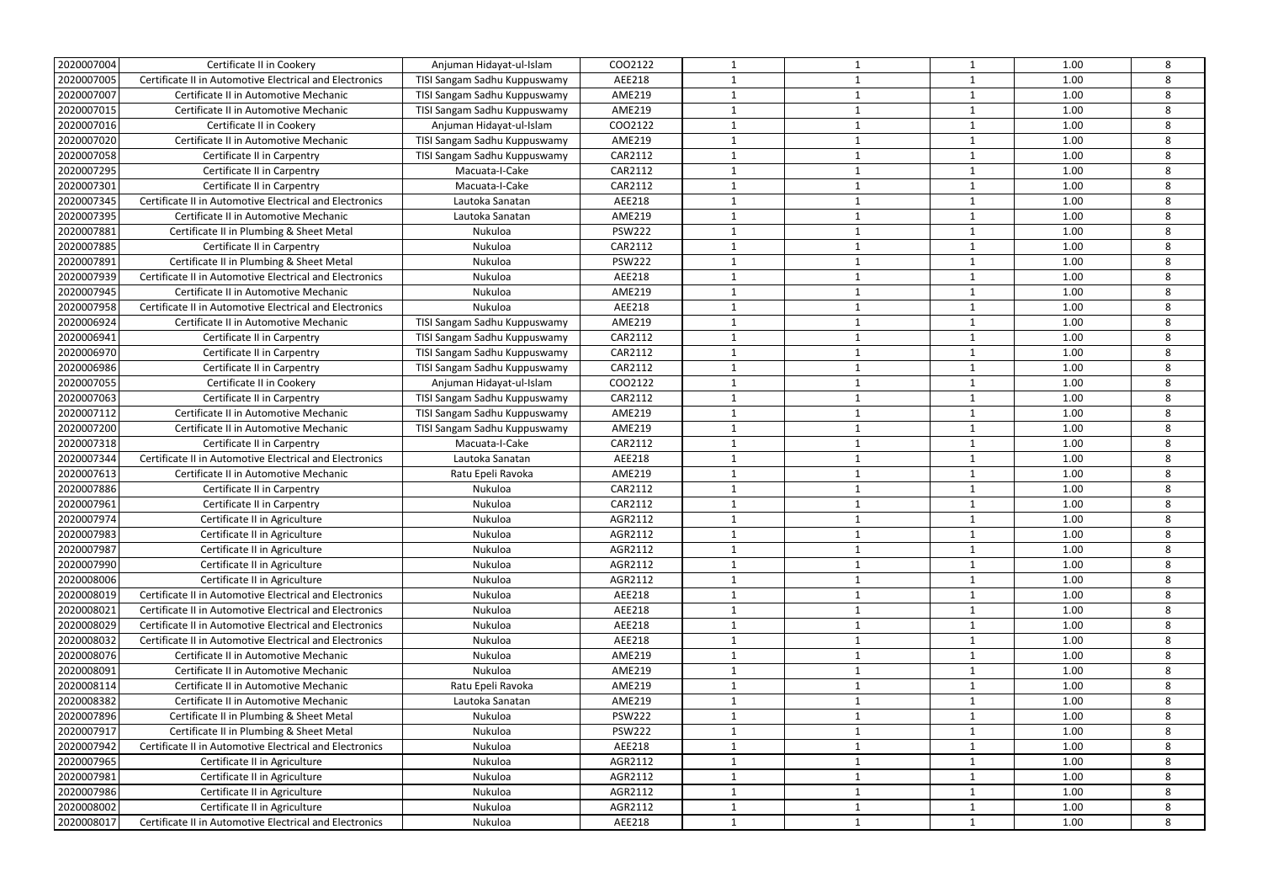| 2020007004 | Certificate II in Cookery                               | Anjuman Hidayat-ul-Islam     | COO2122       | $\mathbf 1$  | -1           | 1                       | 1.00 | 8 |
|------------|---------------------------------------------------------|------------------------------|---------------|--------------|--------------|-------------------------|------|---|
| 2020007005 | Certificate II in Automotive Electrical and Electronics | TISI Sangam Sadhu Kuppuswamy | AEE218        |              |              | $\overline{1}$          | 1.00 | 8 |
| 2020007007 | Certificate II in Automotive Mechanic                   | TISI Sangam Sadhu Kuppuswamy | <b>AME219</b> |              | 1            | $\mathbf{1}$            | 1.00 | 8 |
| 2020007015 | Certificate II in Automotive Mechanic                   | TISI Sangam Sadhu Kuppuswamy | <b>AME219</b> |              | 1            | 1                       | 1.00 | 8 |
| 2020007016 | Certificate II in Cookery                               | Anjuman Hidayat-ul-Islam     | COO2122       | -1           | -1           | $\overline{1}$          | 1.00 | 8 |
| 2020007020 | Certificate II in Automotive Mechanic                   | TISI Sangam Sadhu Kuppuswamy | <b>AME219</b> |              | -1           | -1                      | 1.00 | 8 |
| 2020007058 | Certificate II in Carpentry                             | TISI Sangam Sadhu Kuppuswamy | CAR2112       | $\mathbf 1$  | $\mathbf 1$  | $\mathbf{1}$            | 1.00 | 8 |
| 2020007295 | Certificate II in Carpentry                             | Macuata-I-Cake               | CAR2112       |              |              | $\mathbf{1}$            | 1.00 | 8 |
| 2020007301 | Certificate II in Carpentry                             | Macuata-I-Cake               | CAR2112       | $\mathbf{1}$ | $\mathbf{1}$ | $\overline{1}$          | 1.00 | 8 |
| 2020007345 | Certificate II in Automotive Electrical and Electronics | Lautoka Sanatan              | AEE218        | 1            | $\mathbf 1$  | $\overline{1}$          | 1.00 | 8 |
| 2020007395 | Certificate II in Automotive Mechanic                   | Lautoka Sanatan              | <b>AME219</b> |              | -1           | -1                      | 1.00 | 8 |
| 2020007881 | Certificate II in Plumbing & Sheet Metal                | Nukuloa                      | <b>PSW222</b> |              |              | $\mathbf{1}$            | 1.00 | 8 |
| 2020007885 | Certificate II in Carpentry                             | Nukuloa                      | CAR2112       |              | -1           | $\overline{1}$          | 1.00 | 8 |
| 2020007891 | Certificate II in Plumbing & Sheet Metal                | Nukuloa                      | <b>PSW222</b> | $\mathbf 1$  | $\mathbf{1}$ | $\mathbf{1}$            | 1.00 | 8 |
| 2020007939 | Certificate II in Automotive Electrical and Electronics | Nukuloa                      | AEE218        | 1            | 1            | $\mathbf{1}$            | 1.00 | 8 |
| 2020007945 | Certificate II in Automotive Mechanic                   | Nukuloa                      | <b>AME219</b> |              | $\mathbf 1$  | $\overline{1}$          | 1.00 | 8 |
| 2020007958 | Certificate II in Automotive Electrical and Electronics | Nukuloa                      | AEE218        |              | 1            | $\mathbf{1}$            | 1.00 | 8 |
| 2020006924 | Certificate II in Automotive Mechanic                   | TISI Sangam Sadhu Kuppuswamy | <b>AME219</b> | $\mathbf{1}$ | $\mathbf 1$  | $\mathbf{1}$            | 1.00 | 8 |
| 2020006941 | Certificate II in Carpentry                             | TISI Sangam Sadhu Kuppuswamy | CAR2112       |              | 1            | $\overline{1}$          | 1.00 | 8 |
| 2020006970 | Certificate II in Carpentry                             | TISI Sangam Sadhu Kuppuswamy | CAR2112       |              | $\mathbf 1$  | $\mathbf{1}$            | 1.00 | 8 |
| 2020006986 | Certificate II in Carpentry                             | TISI Sangam Sadhu Kuppuswamy | CAR2112       |              | 1            | $\overline{1}$          | 1.00 | 8 |
| 2020007055 | Certificate II in Cookery                               | Anjuman Hidayat-ul-Islam     | COO2122       | $\mathbf{1}$ | $\mathbf 1$  | 1                       | 1.00 | 8 |
| 2020007063 | Certificate II in Carpentry                             | TISI Sangam Sadhu Kuppuswamy | CAR2112       |              |              | $\overline{\mathbf{1}}$ | 1.00 | 8 |
| 2020007112 | Certificate II in Automotive Mechanic                   | TISI Sangam Sadhu Kuppuswamy | <b>AME219</b> |              | $\mathbf 1$  | $\overline{1}$          | 1.00 | 8 |
| 2020007200 | Certificate II in Automotive Mechanic                   | TISI Sangam Sadhu Kuppuswamy | <b>AME219</b> |              | 1            | $\mathbf{1}$            | 1.00 | 8 |
| 2020007318 | Certificate II in Carpentry                             | Macuata-I-Cake               | CAR2112       |              | -1           | $\overline{1}$          | 1.00 | 8 |
| 2020007344 | Certificate II in Automotive Electrical and Electronics | Lautoka Sanatan              | AEE218        |              | -1           | $\overline{\mathbf{1}}$ | 1.00 | 8 |
| 2020007613 | Certificate II in Automotive Mechanic                   | Ratu Epeli Ravoka            | <b>AME219</b> | 1            | $\mathbf 1$  | $\mathbf{1}$            | 1.00 | 8 |
| 2020007886 | Certificate II in Carpentry                             | Nukuloa                      | CAR2112       |              |              | $\mathbf{1}$            | 1.00 | 8 |
| 2020007961 | Certificate II in Carpentry                             | Nukuloa                      | CAR2112       | $\mathbf{1}$ | 1            | $\overline{\mathbf{1}}$ | 1.00 | 8 |
| 2020007974 | Certificate II in Agriculture                           | Nukuloa                      | AGR2112       |              |              | -1                      | 1.00 | 8 |
| 2020007983 | Certificate II in Agriculture                           | <b>Nukuloa</b>               | AGR2112       |              |              |                         | 1.00 | 8 |
| 2020007987 | Certificate II in Agriculture                           | Nukuloa                      | AGR2112       |              | 1            | $\mathbf{1}$            | 1.00 | 8 |
| 2020007990 | Certificate II in Agriculture                           | Nukuloa                      | AGR2112       |              | 1            | 1                       | 1.00 | 8 |
| 2020008006 | Certificate II in Agriculture                           | Nukuloa                      | AGR2112       | $\mathbf{1}$ | 1            | $\overline{\mathbf{1}}$ | 1.00 | 8 |
| 2020008019 | Certificate II in Automotive Electrical and Electronics | Nukuloa                      | AEE218        | $\mathbf 1$  | 1            | 1                       | 1.00 | 8 |
| 2020008021 | Certificate II in Automotive Electrical and Electronics | Nukuloa                      | AEE218        |              | 1            | $\mathbf{1}$            | 1.00 | 8 |
| 2020008029 | Certificate II in Automotive Electrical and Electronics | Nukuloa                      | AEE218        | 1            | 1            | $\mathbf{1}$            | 1.00 | 8 |
| 2020008032 | Certificate II in Automotive Electrical and Electronics | Nukuloa                      | AEE218        | $\mathbf{1}$ | 1            | $\mathbf{1}$            | 1.00 | 8 |
| 2020008076 | Certificate II in Automotive Mechanic                   | Nukuloa                      | <b>AME219</b> |              | -1           | -1                      | 1.00 | 8 |
| 2020008091 | Certificate II in Automotive Mechanic                   | Nukuloa                      | <b>AME219</b> |              | 1            | $\mathbf{1}$            | 1.00 | 8 |
| 2020008114 | Certificate II in Automotive Mechanic                   | Ratu Epeli Ravoka            | AME219        |              | 1            | 1                       | 1.00 | 8 |
| 2020008382 | Certificate II in Automotive Mechanic                   | Lautoka Sanatan              | <b>AME219</b> | $\mathbf{1}$ | $\mathbf{1}$ | $\mathbf{1}$            | 1.00 | 8 |
| 2020007896 | Certificate II in Plumbing & Sheet Metal                | Nukuloa                      | <b>PSW222</b> |              | 1            | $\overline{1}$          | 1.00 | 8 |
| 2020007917 | Certificate II in Plumbing & Sheet Metal                | Nukuloa                      | <b>PSW222</b> |              | $\mathbf 1$  | $\overline{\mathbf{1}}$ | 1.00 | 8 |
| 2020007942 | Certificate II in Automotive Electrical and Electronics | Nukuloa                      | AEE218        |              | 1            | 1                       | 1.00 | 8 |
| 2020007965 | Certificate II in Agriculture                           | Nukuloa                      | AGR2112       | 1            | 1            | 1                       | 1.00 | 8 |
| 2020007981 | Certificate II in Agriculture                           | Nukuloa                      | AGR2112       |              | 1            | $\overline{1}$          | 1.00 | 8 |
| 2020007986 | Certificate II in Agriculture                           | Nukuloa                      | AGR2112       | 1            | 1            | 1                       | 1.00 | 8 |
| 2020008002 | Certificate II in Agriculture                           | Nukuloa                      | AGR2112       |              |              | $\mathbf 1$             | 1.00 | 8 |
| 2020008017 | Certificate II in Automotive Electrical and Electronics | Nukuloa                      | AEE218        | $\mathbf{1}$ | 1            | $\mathbf{1}$            | 1.00 | 8 |